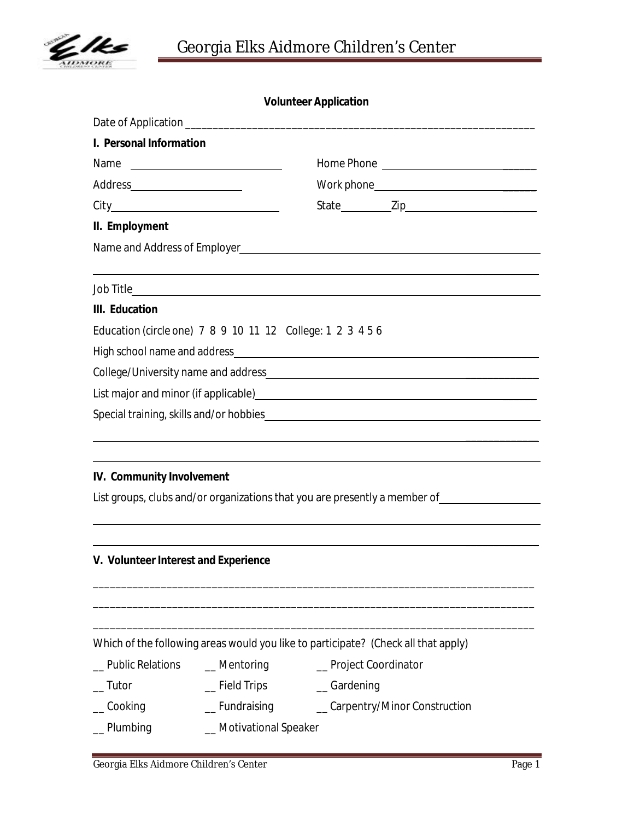

## **Volunteer Application**

| I. Personal Information              |                                                                                    |            |                                                                            |  |  |
|--------------------------------------|------------------------------------------------------------------------------------|------------|----------------------------------------------------------------------------|--|--|
| Name                                 |                                                                                    |            |                                                                            |  |  |
|                                      |                                                                                    |            |                                                                            |  |  |
|                                      |                                                                                    |            |                                                                            |  |  |
| II. Employment                       |                                                                                    |            |                                                                            |  |  |
|                                      |                                                                                    |            |                                                                            |  |  |
|                                      |                                                                                    |            |                                                                            |  |  |
| III. Education                       |                                                                                    |            |                                                                            |  |  |
|                                      | Education (circle one) 7 8 9 10 11 12 College: 1 2 3 4 5 6                         |            |                                                                            |  |  |
|                                      |                                                                                    |            |                                                                            |  |  |
|                                      |                                                                                    |            |                                                                            |  |  |
|                                      |                                                                                    |            |                                                                            |  |  |
|                                      |                                                                                    |            |                                                                            |  |  |
|                                      |                                                                                    |            |                                                                            |  |  |
|                                      |                                                                                    |            |                                                                            |  |  |
| IV. Community Involvement            |                                                                                    |            |                                                                            |  |  |
|                                      |                                                                                    |            | List groups, clubs and/or organizations that you are presently a member of |  |  |
|                                      |                                                                                    |            |                                                                            |  |  |
|                                      |                                                                                    |            |                                                                            |  |  |
| V. Volunteer Interest and Experience |                                                                                    |            |                                                                            |  |  |
|                                      |                                                                                    |            |                                                                            |  |  |
|                                      |                                                                                    |            |                                                                            |  |  |
|                                      |                                                                                    |            |                                                                            |  |  |
|                                      | Which of the following areas would you like to participate? (Check all that apply) |            |                                                                            |  |  |
| _ Public Relations                   | $\equiv$ Mentoring                                                                 |            | _ Project Coordinator                                                      |  |  |
| _ Tutor                              | $\equiv$ Field Trips                                                               | _Gardening |                                                                            |  |  |
| Cooking                              | _Fundraising                                                                       |            | _Carpentry/Minor Construction                                              |  |  |
| _Plumbing                            | _Motivational Speaker                                                              |            |                                                                            |  |  |
|                                      |                                                                                    |            |                                                                            |  |  |